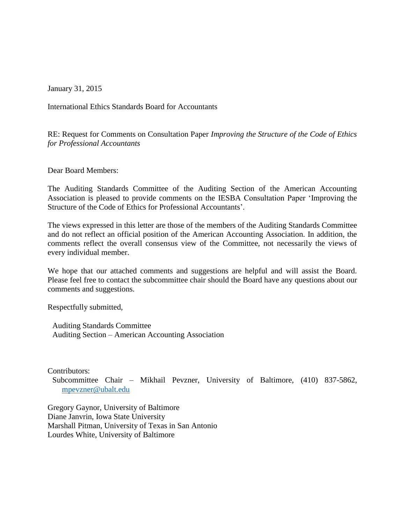January 31, 2015

International Ethics Standards Board for Accountants

RE: Request for Comments on Consultation Paper *Improving the Structure of the Code of Ethics for Professional Accountants*

Dear Board Members:

The Auditing Standards Committee of the Auditing Section of the American Accounting Association is pleased to provide comments on the IESBA Consultation Paper 'Improving the Structure of the Code of Ethics for Professional Accountants'.

The views expressed in this letter are those of the members of the Auditing Standards Committee and do not reflect an official position of the American Accounting Association. In addition, the comments reflect the overall consensus view of the Committee, not necessarily the views of every individual member.

We hope that our attached comments and suggestions are helpful and will assist the Board. Please feel free to contact the subcommittee chair should the Board have any questions about our comments and suggestions.

Respectfully submitted,

Auditing Standards Committee Auditing Section – American Accounting Association

Contributors:

Subcommittee Chair – Mikhail Pevzner, University of Baltimore, (410) 837-5862, [mpevzner@ubalt.edu](mailto:mpevzner@ubalt.edu)

Gregory Gaynor, University of Baltimore Diane Janvrin, Iowa State University Marshall Pitman, University of Texas in San Antonio Lourdes White, University of Baltimore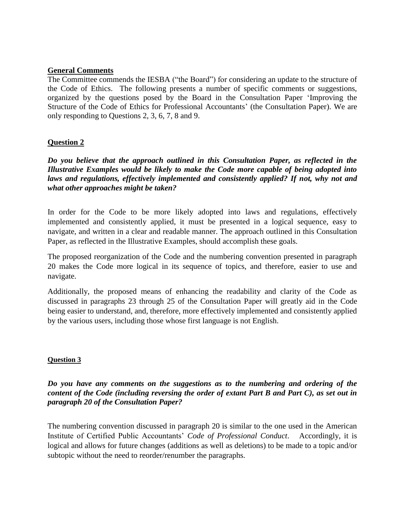## **General Comments**

The Committee commends the IESBA ("the Board") for considering an update to the structure of the Code of Ethics. The following presents a number of specific comments or suggestions, organized by the questions posed by the Board in the Consultation Paper 'Improving the Structure of the Code of Ethics for Professional Accountants' (the Consultation Paper). We are only responding to Questions 2, 3, 6, 7, 8 and 9.

## **Question 2**

*Do you believe that the approach outlined in this Consultation Paper, as reflected in the Illustrative Examples would be likely to make the Code more capable of being adopted into laws and regulations, effectively implemented and consistently applied? If not, why not and what other approaches might be taken?* 

In order for the Code to be more likely adopted into laws and regulations, effectively implemented and consistently applied, it must be presented in a logical sequence, easy to navigate, and written in a clear and readable manner. The approach outlined in this Consultation Paper, as reflected in the Illustrative Examples, should accomplish these goals.

The proposed reorganization of the Code and the numbering convention presented in paragraph 20 makes the Code more logical in its sequence of topics, and therefore, easier to use and navigate.

Additionally, the proposed means of enhancing the readability and clarity of the Code as discussed in paragraphs 23 through 25 of the Consultation Paper will greatly aid in the Code being easier to understand, and, therefore, more effectively implemented and consistently applied by the various users, including those whose first language is not English.

#### **Question 3**

## *Do you have any comments on the suggestions as to the numbering and ordering of the content of the Code (including reversing the order of extant Part B and Part C), as set out in paragraph 20 of the Consultation Paper?*

The numbering convention discussed in paragraph 20 is similar to the one used in the American Institute of Certified Public Accountants' *Code of Professional Conduct*. Accordingly, it is logical and allows for future changes (additions as well as deletions) to be made to a topic and/or subtopic without the need to reorder/renumber the paragraphs.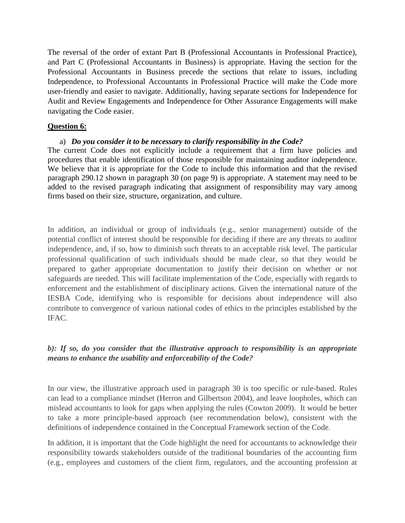The reversal of the order of extant Part B (Professional Accountants in Professional Practice), and Part C (Professional Accountants in Business) is appropriate. Having the section for the Professional Accountants in Business precede the sections that relate to issues, including Independence, to Professional Accountants in Professional Practice will make the Code more user-friendly and easier to navigate. Additionally, having separate sections for Independence for Audit and Review Engagements and Independence for Other Assurance Engagements will make navigating the Code easier.

## **Question 6:**

#### a) *Do you consider it to be necessary to clarify responsibility in the Code?*

The current Code does not explicitly include a requirement that a firm have policies and procedures that enable identification of those responsible for maintaining auditor independence. We believe that it is appropriate for the Code to include this information and that the revised paragraph 290.12 shown in paragraph 30 (on page 9) is appropriate. A statement may need to be added to the revised paragraph indicating that assignment of responsibility may vary among firms based on their size, structure, organization, and culture.

In addition, an individual or group of individuals (e.g., senior management) outside of the potential conflict of interest should be responsible for deciding if there are any threats to auditor independence, and, if so, how to diminish such threats to an acceptable risk level. The particular professional qualification of such individuals should be made clear, so that they would be prepared to gather appropriate documentation to justify their decision on whether or not safeguards are needed. This will facilitate implementation of the Code, especially with regards to enforcement and the establishment of disciplinary actions. Given the international nature of the IESBA Code, identifying who is responsible for decisions about independence will also contribute to convergence of various national codes of ethics to the principles established by the IFAC.

# *b): If so, do you consider that the illustrative approach to responsibility is an appropriate means to enhance the usability and enforceability of the Code?*

In our view, the illustrative approach used in paragraph 30 is too specific or rule-based. Rules can lead to a compliance mindset (Herron and Gilbertson 2004), and leave loopholes, which can mislead accountants to look for gaps when applying the rules (Cowton 2009). It would be better to take a more principle-based approach (see recommendation below), consistent with the definitions of independence contained in the Conceptual Framework section of the Code.

In addition, it is important that the Code highlight the need for accountants to acknowledge their responsibility towards stakeholders outside of the traditional boundaries of the accounting firm (e.g., employees and customers of the client firm, regulators, and the accounting profession at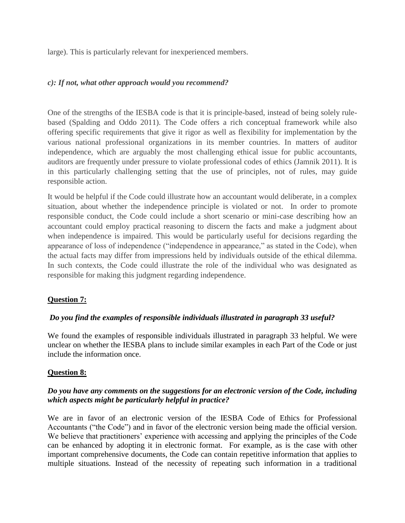large). This is particularly relevant for inexperienced members.

## *c): If not, what other approach would you recommend?*

One of the strengths of the IESBA code is that it is principle-based, instead of being solely rulebased (Spalding and Oddo 2011). The Code offers a rich conceptual framework while also offering specific requirements that give it rigor as well as flexibility for implementation by the various national professional organizations in its member countries. In matters of auditor independence, which are arguably the most challenging ethical issue for public accountants, auditors are frequently under pressure to violate professional codes of ethics (Jamnik 2011). It is in this particularly challenging setting that the use of principles, not of rules, may guide responsible action.

It would be helpful if the Code could illustrate how an accountant would deliberate, in a complex situation, about whether the independence principle is violated or not. In order to promote responsible conduct, the Code could include a short scenario or mini-case describing how an accountant could employ practical reasoning to discern the facts and make a judgment about when independence is impaired. This would be particularly useful for decisions regarding the appearance of loss of independence ("independence in appearance," as stated in the Code), when the actual facts may differ from impressions held by individuals outside of the ethical dilemma. In such contexts, the Code could illustrate the role of the individual who was designated as responsible for making this judgment regarding independence.

# **Question 7:**

# *Do you find the examples of responsible individuals illustrated in paragraph 33 useful?*

We found the examples of responsible individuals illustrated in paragraph 33 helpful. We were unclear on whether the IESBA plans to include similar examples in each Part of the Code or just include the information once.

# **Question 8:**

# *Do you have any comments on the suggestions for an electronic version of the Code, including which aspects might be particularly helpful in practice?*

We are in favor of an electronic version of the IESBA Code of Ethics for Professional Accountants ("the Code") and in favor of the electronic version being made the official version. We believe that practitioners' experience with accessing and applying the principles of the Code can be enhanced by adopting it in electronic format. For example, as is the case with other important comprehensive documents, the Code can contain repetitive information that applies to multiple situations. Instead of the necessity of repeating such information in a traditional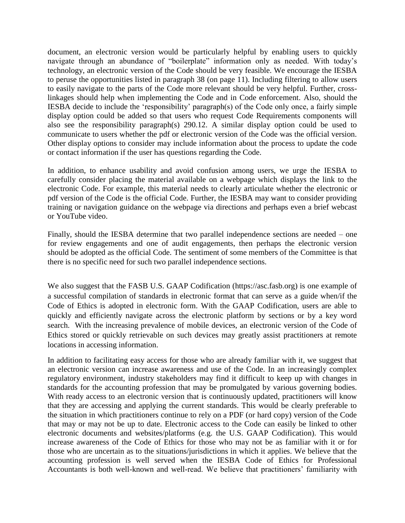document, an electronic version would be particularly helpful by enabling users to quickly navigate through an abundance of "boilerplate" information only as needed. With today's technology, an electronic version of the Code should be very feasible. We encourage the IESBA to peruse the opportunities listed in paragraph 38 (on page 11). Including filtering to allow users to easily navigate to the parts of the Code more relevant should be very helpful. Further, crosslinkages should help when implementing the Code and in Code enforcement. Also, should the IESBA decide to include the 'responsibility' paragraph(s) of the Code only once, a fairly simple display option could be added so that users who request Code Requirements components will also see the responsibility paragraph(s) 290.12. A similar display option could be used to communicate to users whether the pdf or electronic version of the Code was the official version. Other display options to consider may include information about the process to update the code or contact information if the user has questions regarding the Code.

In addition, to enhance usability and avoid confusion among users, we urge the IESBA to carefully consider placing the material available on a webpage which displays the link to the electronic Code. For example, this material needs to clearly articulate whether the electronic or pdf version of the Code is the official Code. Further, the IESBA may want to consider providing training or navigation guidance on the webpage via directions and perhaps even a brief webcast or YouTube video.

Finally, should the IESBA determine that two parallel independence sections are needed – one for review engagements and one of audit engagements, then perhaps the electronic version should be adopted as the official Code. The sentiment of some members of the Committee is that there is no specific need for such two parallel independence sections.

We also suggest that the FASB U.S. GAAP Codification (https://asc.fasb.org) is one example of a successful compilation of standards in electronic format that can serve as a guide when/if the Code of Ethics is adopted in electronic form. With the GAAP Codification, users are able to quickly and efficiently navigate across the electronic platform by sections or by a key word search. With the increasing prevalence of mobile devices, an electronic version of the Code of Ethics stored or quickly retrievable on such devices may greatly assist practitioners at remote locations in accessing information.

In addition to facilitating easy access for those who are already familiar with it, we suggest that an electronic version can increase awareness and use of the Code. In an increasingly complex regulatory environment, industry stakeholders may find it difficult to keep up with changes in standards for the accounting profession that may be promulgated by various governing bodies. With ready access to an electronic version that is continuously updated, practitioners will know that they are accessing and applying the current standards. This would be clearly preferable to the situation in which practitioners continue to rely on a PDF (or hard copy) version of the Code that may or may not be up to date. Electronic access to the Code can easily be linked to other electronic documents and websites/platforms (e.g. the U.S. GAAP Codification). This would increase awareness of the Code of Ethics for those who may not be as familiar with it or for those who are uncertain as to the situations/jurisdictions in which it applies. We believe that the accounting profession is well served when the IESBA Code of Ethics for Professional Accountants is both well-known and well-read. We believe that practitioners' familiarity with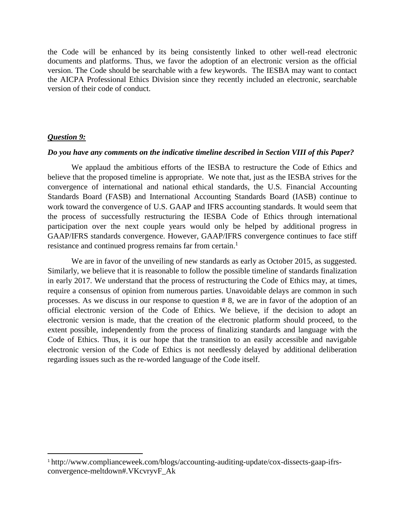the Code will be enhanced by its being consistently linked to other well-read electronic documents and platforms. Thus, we favor the adoption of an electronic version as the official version. The Code should be searchable with a few keywords. The IESBA may want to contact the AICPA Professional Ethics Division since they recently included an electronic, searchable version of their code of conduct.

#### *Question 9:*

l

#### *Do you have any comments on the indicative timeline described in Section VIII of this Paper?*

We applaud the ambitious efforts of the IESBA to restructure the Code of Ethics and believe that the proposed timeline is appropriate. We note that, just as the IESBA strives for the convergence of international and national ethical standards, the U.S. Financial Accounting Standards Board (FASB) and International Accounting Standards Board (IASB) continue to work toward the convergence of U.S. GAAP and IFRS accounting standards. It would seem that the process of successfully restructuring the IESBA Code of Ethics through international participation over the next couple years would only be helped by additional progress in GAAP/IFRS standards convergence. However, GAAP/IFRS convergence continues to face stiff resistance and continued progress remains far from certain.<sup>1</sup>

We are in favor of the unveiling of new standards as early as October 2015, as suggested. Similarly, we believe that it is reasonable to follow the possible timeline of standards finalization in early 2017. We understand that the process of restructuring the Code of Ethics may, at times, require a consensus of opinion from numerous parties. Unavoidable delays are common in such processes. As we discuss in our response to question # 8, we are in favor of the adoption of an official electronic version of the Code of Ethics. We believe, if the decision to adopt an electronic version is made, that the creation of the electronic platform should proceed, to the extent possible, independently from the process of finalizing standards and language with the Code of Ethics. Thus, it is our hope that the transition to an easily accessible and navigable electronic version of the Code of Ethics is not needlessly delayed by additional deliberation regarding issues such as the re-worded language of the Code itself.

<sup>1</sup> http://www.complianceweek.com/blogs/accounting-auditing-update/cox-dissects-gaap-ifrsconvergence-meltdown#.VKcvryvF\_Ak